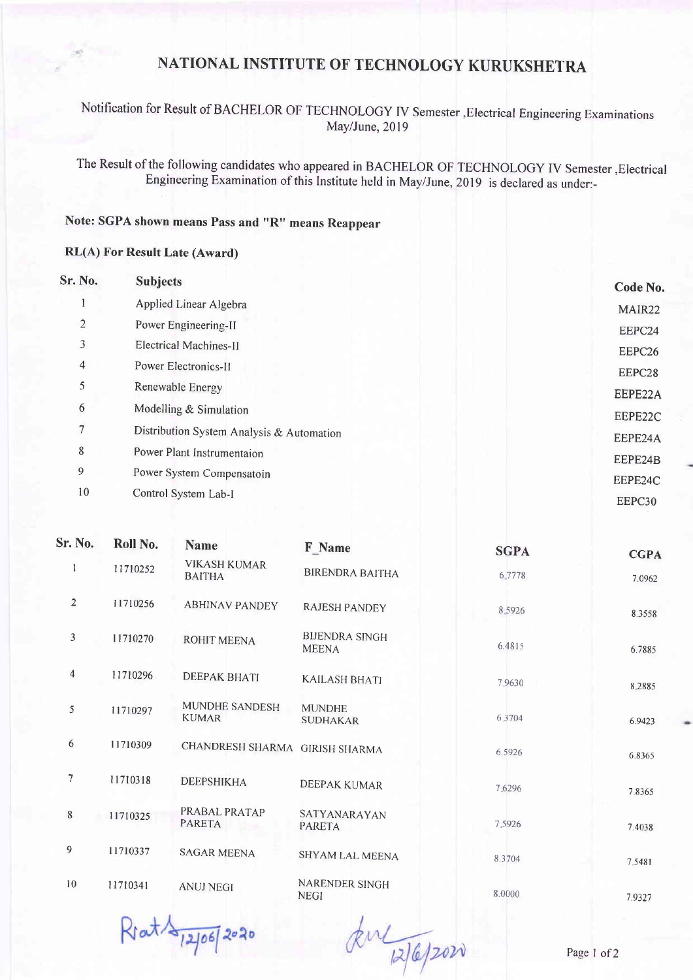## NATIONAL INSTITUTE OF TECHNOLOGY KURUKSHETRA

Notification for Result of BACHELOR OF TECHNOLoGY IV Semester,Electrical Engineering Examinations May/June, 2019

The Result of the following candidates who appeared in BACHELOR OF TECHNOLOGY IV Semester, Electrical Engineering Examination of this Institute held in May/June, 2019 is declared as under:-

## Note: SGPA shown means Pass and "R" means Reappear

## RL(A) For Result Late (Award)

| Sr. No.                  | <b>Subjects</b>                           | Code No.           |
|--------------------------|-------------------------------------------|--------------------|
|                          | Applied Linear Algebra                    | MAIR22             |
| $\overline{2}$           | Power Engineering-II                      | EEPC24             |
| 3                        | Electrical Machines-II                    | EEPC <sub>26</sub> |
| $\overline{\mathcal{A}}$ | Power Electronics-II                      | EEPC28             |
| 5                        | Renewable Energy                          | EEPE22A            |
| 6                        | Modelling & Simulation                    | EEPE22C            |
| 7                        | Distribution System Analysis & Automation | EEPE24A            |
| 8                        | Power Plant Instrumentaion                | EEPE24B            |
| 9                        | Power System Compensatoin                 | EEPE24C            |
| 10                       | Control System Lab-I                      | EEPC30             |

| Sr. No.        | Roll No. | <b>Name</b>                          | <b>F</b> Name                         | <b>SGPA</b> | <b>CGPA</b> |
|----------------|----------|--------------------------------------|---------------------------------------|-------------|-------------|
| 1              | 11710252 | <b>VIKASH KUMAR</b><br><b>BAITHA</b> | <b>BIRENDRA BAITHA</b>                | 6.7778      | 7.0962      |
| $\overline{2}$ | 11710256 | <b>ABHINAV PANDEY</b>                | <b>RAJESH PANDEY</b>                  | 8.5926      | 8.3558      |
| $\overline{3}$ | 11710270 | <b>ROHIT MEENA</b>                   | <b>BIJENDRA SINGH</b><br><b>MEENA</b> | 6.4815      | 6.7885      |
| $\overline{4}$ | 11710296 | <b>DEEPAK BHATI</b>                  | <b>KAILASH BHATI</b>                  | 7.9630      | 8.2885      |
| 5              | 11710297 | MUNDHE SANDESH<br><b>KUMAR</b>       | <b>MUNDHE</b><br><b>SUDHAKAR</b>      | 6.3704      | 6.9423      |
| 6              | 11710309 | CHANDRESH SHARMA GIRISH SHARMA       |                                       | 6.5926      | 6.8365      |
| $\overline{7}$ | 11710318 | <b>DEEPSHIKHA</b>                    | DEEPAK KUMAR                          | 7.6296      | 7.8365      |
| 8              | 11710325 | PRABAL PRATAP<br><b>PARETA</b>       | SATYANARAYAN<br><b>PARETA</b>         | 7.5926      | 7.4038      |
| 9              | 11710337 | <b>SAGAR MEENA</b>                   | SHYAM LAL MEENA                       | 8.3704      | 7.5481      |
| 10             | 11710341 | <b>ANUJ NEGI</b>                     | NARENDER SINGH<br><b>NEGI</b>         | 8.0000      | 7.9327      |

 $R \cdot at \frac{1}{2} \cdot 10672020$ 

kul 12/6/2020